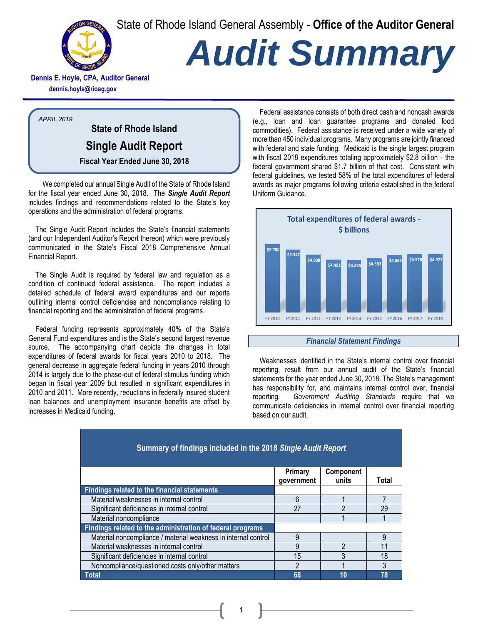State of Rhode Island General Assembly - **Office of the Auditor General**



# *Audit Summary*

**Dennis E. Hoyle, CPA, Auditor General dennis.hoyle@rioag.gov**

*APRIL 2019*

**State of Rhode Island Single Audit Report Fiscal Year Ended June 30, 2018**

We completed our annual Single Audit of the State of Rhode Island for the fiscal year ended June 30, 2018. The *Single Audit Report* includes findings and recommendations related to the State's key operations and the administration of federal programs.

The Single Audit Report includes the State's financial statements (and our Independent Auditor's Report thereon) which were previously communicated in the State's Fiscal 2018 Comprehensive Annual Financial Report.

The Single Audit is required by federal law and regulation as a condition of continued federal assistance. The report includes a detailed schedule of federal award expenditures and our reports outlining internal control deficiencies and noncompliance relating to financial reporting and the administration of federal programs.

Federal funding represents approximately 40% of the State's General Fund expenditures and is the State's second largest revenue source. The accompanying chart depicts the changes in total expenditures of federal awards for fiscal years 2010 to 2018. The general decrease in aggregate federal funding in years 2010 through 2014 is largely due to the phase-out of federal stimulus funding which began in fiscal year 2009 but resulted in significant expenditures in 2010 and 2011. More recently, reductions in federally insured student loan balances and unemployment insurance benefits are offset by increases in Medicaid funding.

Federal assistance consists of both direct cash and noncash awards (e.g., loan and loan guarantee programs and donated food commodities). Federal assistance is received under a wide variety of more than 450 individual programs. Many programs are jointly financed with federal and state funding. Medicaid is the single largest program with fiscal 2018 expenditures totaling approximately \$2.8 billion - the federal government shared \$1.7 billion of that cost. Consistent with federal guidelines, we tested 58% of the total expenditures of federal awards as major programs following criteria established in the federal Uniform Guidance.



#### *Financial Statement Findings*

Weaknesses identified in the State's internal control over financial reporting, result from our annual audit of the State's financial statements for the year ended June 30, 2018. The State's management has responsibility for, and maintains internal control over, financial reporting. *Government Auditing Standards* require that we communicate deficiencies in internal control over financial reporting based on our audit.

| Summary of findings included in the 2018 Single Audit Report   |                              |                    |       |
|----------------------------------------------------------------|------------------------------|--------------------|-------|
|                                                                | <b>Primary</b><br>qovernment | Component<br>units | Total |
| <b>Findings related to the financial statements</b>            |                              |                    |       |
| Material weaknesses in internal control                        | 6                            |                    |       |
| Significant deficiencies in internal control                   | 27                           | າ                  | 29    |
| Material noncompliance                                         |                              |                    |       |
| Findings related to the administration of federal programs     |                              |                    |       |
| Material noncompliance / material weakness in internal control | 9                            |                    | 9     |
| Material weaknesses in internal control                        | 9                            | $\mathfrak{p}$     | 11    |
| Significant deficiencies in internal control                   | 15                           | 3                  | 18    |
| Noncompliance/questioned costs only/other matters              | $\mathfrak{p}$               |                    | 3     |
| Total                                                          | 68                           | 10                 | 78    |

1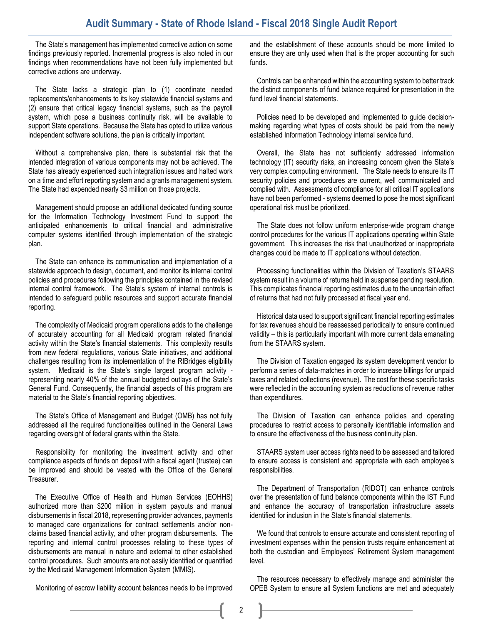### **Audit Summary - State of Rhode Island - Fiscal 2018 Single Audit Report**

The State's management has implemented corrective action on some findings previously reported. Incremental progress is also noted in our findings when recommendations have not been fully implemented but corrective actions are underway.

The State lacks a strategic plan to (1) coordinate needed replacements/enhancements to its key statewide financial systems and (2) ensure that critical legacy financial systems, such as the payroll system, which pose a business continuity risk, will be available to support State operations. Because the State has opted to utilize various independent software solutions, the plan is critically important.

Without a comprehensive plan, there is substantial risk that the intended integration of various components may not be achieved. The State has already experienced such integration issues and halted work on a time and effort reporting system and a grants management system. The State had expended nearly \$3 million on those projects.

Management should propose an additional dedicated funding source for the Information Technology Investment Fund to support the anticipated enhancements to critical financial and administrative computer systems identified through implementation of the strategic plan.

The State can enhance its communication and implementation of a statewide approach to design, document, and monitor its internal control policies and procedures following the principles contained in the revised internal control framework. The State's system of internal controls is intended to safeguard public resources and support accurate financial reporting.

The complexity of Medicaid program operations adds to the challenge of accurately accounting for all Medicaid program related financial activity within the State's financial statements. This complexity results from new federal regulations, various State initiatives, and additional challenges resulting from its implementation of the RIBridges eligibility system. Medicaid is the State's single largest program activity representing nearly 40% of the annual budgeted outlays of the State's General Fund. Consequently, the financial aspects of this program are material to the State's financial reporting objectives.

The State's Office of Management and Budget (OMB) has not fully addressed all the required functionalities outlined in the General Laws regarding oversight of federal grants within the State.

Responsibility for monitoring the investment activity and other compliance aspects of funds on deposit with a fiscal agent (trustee) can be improved and should be vested with the Office of the General Treasurer.

The Executive Office of Health and Human Services (EOHHS) authorized more than \$200 million in system payouts and manual disbursements in fiscal 2018, representing provider advances, payments to managed care organizations for contract settlements and/or nonclaims based financial activity, and other program disbursements. The reporting and internal control processes relating to these types of disbursements are manual in nature and external to other established control procedures. Such amounts are not easily identified or quantified by the Medicaid Management Information System (MMIS).

Monitoring of escrow liability account balances needs to be improved

and the establishment of these accounts should be more limited to ensure they are only used when that is the proper accounting for such funds.

Controls can be enhanced within the accounting system to better track the distinct components of fund balance required for presentation in the fund level financial statements.

Policies need to be developed and implemented to guide decisionmaking regarding what types of costs should be paid from the newly established Information Technology internal service fund.

Overall, the State has not sufficiently addressed information technology (IT) security risks, an increasing concern given the State's very complex computing environment. The State needs to ensure its IT security policies and procedures are current, well communicated and complied with. Assessments of compliance for all critical IT applications have not been performed - systems deemed to pose the most significant operational risk must be prioritized.

The State does not follow uniform enterprise-wide program change control procedures for the various IT applications operating within State government. This increases the risk that unauthorized or inappropriate changes could be made to IT applications without detection.

Processing functionalities within the Division of Taxation's STAARS system result in a volume of returns held in suspense pending resolution. This complicates financial reporting estimates due to the uncertain effect of returns that had not fully processed at fiscal year end.

Historical data used to support significant financial reporting estimates for tax revenues should be reassessed periodically to ensure continued validity – this is particularly important with more current data emanating from the STAARS system.

The Division of Taxation engaged its system development vendor to perform a series of data-matches in order to increase billings for unpaid taxes and related collections (revenue). The cost for these specific tasks were reflected in the accounting system as reductions of revenue rather than expenditures.

The Division of Taxation can enhance policies and operating procedures to restrict access to personally identifiable information and to ensure the effectiveness of the business continuity plan.

STAARS system user access rights need to be assessed and tailored to ensure access is consistent and appropriate with each employee's responsibilities.

The Department of Transportation (RIDOT) can enhance controls over the presentation of fund balance components within the IST Fund and enhance the accuracy of transportation infrastructure assets identified for inclusion in the State's financial statements.

We found that controls to ensure accurate and consistent reporting of investment expenses within the pension trusts require enhancement at both the custodian and Employees' Retirement System management level.

The resources necessary to effectively manage and administer the OPEB System to ensure all System functions are met and adequately

2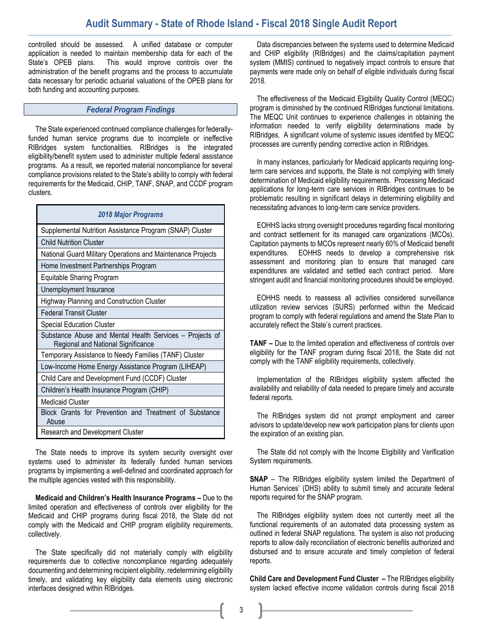## **Audit Summary - State of Rhode Island - Fiscal 2018 Single Audit Report**

controlled should be assessed. A unified database or computer application is needed to maintain membership data for each of the State's OPEB plans. This would improve controls over the administration of the benefit programs and the process to accumulate data necessary for periodic actuarial valuations of the OPEB plans for both funding and accounting purposes.

#### *Federal Program Findings*

The State experienced continued compliance challenges for federallyfunded human service programs due to incomplete or ineffective RIBridges system functionalities. RIBridges is the integrated eligibility/benefit system used to administer multiple federal assistance programs. As a result, we reported material noncompliance for several compliance provisions related to the State's ability to comply with federal requirements for the Medicaid, CHIP, TANF, SNAP, and CCDF program clusters.

| <b>2018 Major Programs</b>                                                                     |  |  |
|------------------------------------------------------------------------------------------------|--|--|
| Supplemental Nutrition Assistance Program (SNAP) Cluster                                       |  |  |
| <b>Child Nutrition Cluster</b>                                                                 |  |  |
| National Guard Military Operations and Maintenance Projects                                    |  |  |
| Home Investment Partnerships Program                                                           |  |  |
| <b>Equitable Sharing Program</b>                                                               |  |  |
| Unemployment Insurance                                                                         |  |  |
| <b>Highway Planning and Construction Cluster</b>                                               |  |  |
| <b>Federal Transit Cluster</b>                                                                 |  |  |
| <b>Special Education Cluster</b>                                                               |  |  |
| Substance Abuse and Mental Health Services - Projects of<br>Regional and National Significance |  |  |
| Temporary Assistance to Needy Families (TANF) Cluster                                          |  |  |
| Low-Income Home Energy Assistance Program (LIHEAP)                                             |  |  |
| Child Care and Development Fund (CCDF) Cluster                                                 |  |  |
| Children's Health Insurance Program (CHIP)                                                     |  |  |
| <b>Medicaid Cluster</b>                                                                        |  |  |
| Block Grants for Prevention and Treatment of Substance<br>Abuse                                |  |  |
| Research and Development Cluster                                                               |  |  |

The State needs to improve its system security oversight over systems used to administer its federally funded human services programs by implementing a well-defined and coordinated approach for the multiple agencies vested with this responsibility.

**Medicaid and Children's Health Insurance Programs –** Due to the limited operation and effectiveness of controls over eligibility for the Medicaid and CHIP programs during fiscal 2018, the State did not comply with the Medicaid and CHIP program eligibility requirements, collectively.

The State specifically did not materially comply with eligibility requirements due to collective noncompliance regarding adequately documenting and determining recipient eligibility, redetermining eligibility timely, and validating key eligibility data elements using electronic interfaces designed within RIBridges.

Data discrepancies between the systems used to determine Medicaid and CHIP eligibility (RIBridges) and the claims/capitation payment system (MMIS) continued to negatively impact controls to ensure that payments were made only on behalf of eligible individuals during fiscal 2018.

The effectiveness of the Medicaid Eligibility Quality Control (MEQC) program is diminished by the continued RIBridges functional limitations. The MEQC Unit continues to experience challenges in obtaining the information needed to verify eligibility determinations made by RIBridges. A significant volume of systemic issues identified by MEQC processes are currently pending corrective action in RIBridges.

In many instances, particularly for Medicaid applicants requiring longterm care services and supports, the State is not complying with timely determination of Medicaid eligibility requirements. Processing Medicaid applications for long-term care services in RIBridges continues to be problematic resulting in significant delays in determining eligibility and necessitating advances to long-term care service providers.

EOHHS lacks strong oversight procedures regarding fiscal monitoring and contract settlement for its managed care organizations (MCOs). Capitation payments to MCOs represent nearly 60% of Medicaid benefit expenditures. EOHHS needs to develop a comprehensive risk assessment and monitoring plan to ensure that managed care expenditures are validated and settled each contract period. More stringent audit and financial monitoring procedures should be employed.

EOHHS needs to reassess all activities considered surveillance utilization review services (SURS) performed within the Medicaid program to comply with federal regulations and amend the State Plan to accurately reflect the State's current practices.

**TANF –** Due to the limited operation and effectiveness of controls over eligibility for the TANF program during fiscal 2018, the State did not comply with the TANF eligibility requirements, collectively.

Implementation of the RIBridges eligibility system affected the availability and reliability of data needed to prepare timely and accurate federal reports.

The RIBridges system did not prompt employment and career advisors to update/develop new work participation plans for clients upon the expiration of an existing plan.

The State did not comply with the Income Eligibility and Verification System requirements.

**SNAP** – The RIBridges eligibility system limited the Department of Human Services' (DHS) ability to submit timely and accurate federal reports required for the SNAP program.

The RIBridges eligibility system does not currently meet all the functional requirements of an automated data processing system as outlined in federal SNAP regulations. The system is also not producing reports to allow daily reconciliation of electronic benefits authorized and disbursed and to ensure accurate and timely completion of federal reports.

**Child Care and Development Fund Cluster –** The RIBridges eligibility system lacked effective income validation controls during fiscal 2018